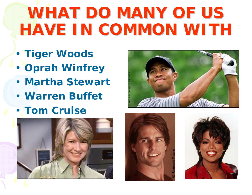# **WHAT DO MANY OF US HAVE IN COMMON WITH HAVE IN COMMON WITH**

- •**Tiger Woods**
- •**Oprah Winfrey**
- **Martha Stewart**
- **Warren Buffet**
- **Tom Cruise**







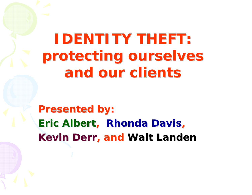# **IDENTITY THEFT IDENTITY THEFT: protecting ourselves protecting ourselves and our clients and our clients**

**Presented by Presented by: Eric Albert, Rhonda Davis Kevin Derr, and Walt Lander**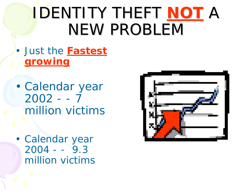# **IDENTITY THEFT NOT A** NEW PROBLEM

#### • Just the **Fastest growing**

- • Calendar year  $2002 - -7$ million victims
- • Calendar year  $2004 - -9.3$ million victims

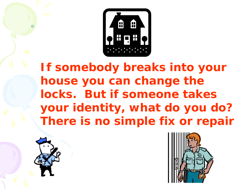

*If somebody breaks into your house you can change the locks. But if someone takes your identity, what do you do? There is no simple fix or repair* 



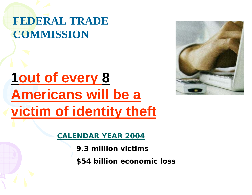### **FEDERAL TRADE COMMISSION**

# **1out of every 8 Americans will be a victim of identity theft**



**CALENDAR YEAR 2004**

- **9.3 million victims**
- **\$54 billion economic loss**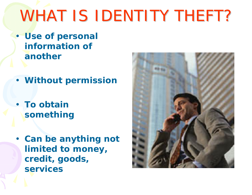# WHAT IS IDENTITY THEFT?

- **Use of personal information of another**
- **Without permission**
- **To obtain something**
- **Can be anything not limited to money, credit, goods, services**

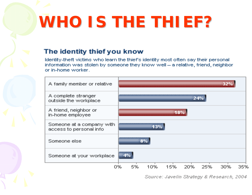# **WHO IS THE THIEF WHO IS THE THIEF?**

#### The identity thief you know

Identity-theft victims who learn the thief's identity most often say their personal information was stolen by someone they know well = a relative, friend, neighbor or in-home worker.



Source: Javelin Strategy & Research, 2004.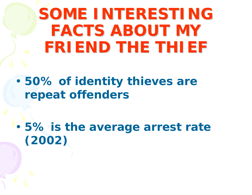**SOME INTERESTING FACTS ABOUT MY FRIEND THE THIEF FRIEND THE THIEF**

• **50% of identity thieves are repeat offenders** 

• **5% is the average arrest rate (2002)**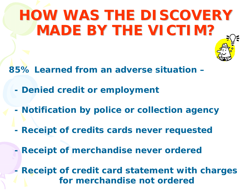# **HOW WAS THE DISCOVERY HOW WAS THE DISCOVERY MADE BY THE VICTIM?**

**85% Learned from an adverse situation –** 

- **Denied credit or employment**
- **Notification by police or collection agency**
- **Receipt of credits cards never requested**
- **Receipt of merchandise never ordered**

 **- Receipt of credit card statement with charges for merchandise not ordered**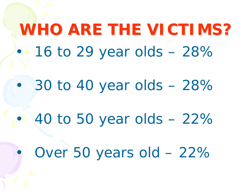### **WHO ARE THE VICTIMS WHO ARE THE VICTIMS?**•16 to 29 year olds – 28%

•30 to 40 year olds – 28%

40 to 50 year olds – 22%

•

•

Over 50 years old – 22%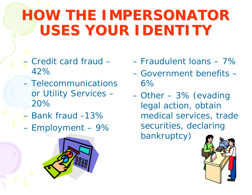# **HOW THE IMPERSONATOR USES YOUR IDENTITY USES YOUR IDENTITY**

- Credit card fraud 42%
- Telecommunications or Utility Services – 20%
- Bank fraud -13%
- Employment 9%



- Fraudulent loans 7%
- Government benefits 6%
- Other 3% (evading legal action, obtain medical services, trade securities, declaring bankruptcy)

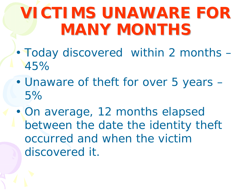# **VICTIMS UNAWARE FOR MANY MONTHS MANY MONTHS**

- • Today discovered within 2 months – 45%
- • Unaware of theft for over 5 years – 5%
- • On average, 12 months elapsed between the date the identity theft occurred and when the victim discovered it.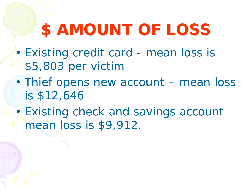# **\$ AMOUNT OF LOSS AMOUNT OF LOSS**

- • Existing credit card - mean loss is \$5,803 per victim
- • Thief opens new account – mean loss is \$12,646
- • Existing check and savings account mean loss is \$9,912.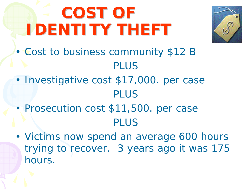# **COST OF COST OF IDENTITY THEFT IDENTITY THEFT**



- • Cost to business community \$12 B PLUS
- • Investigative cost \$17,000. per case PLUS
- • Prosecution cost \$11,500. per case PLUS
- • Victims now spend an average 600 hours trying to recover. 3 years ago it was 175 hours.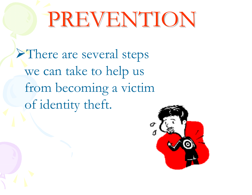# PREVENTION PREVENTION

¾There are several steps we can take to help us from becoming a victim of identity theft.

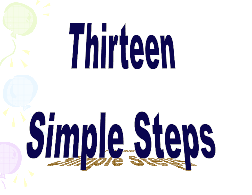# Thirteen

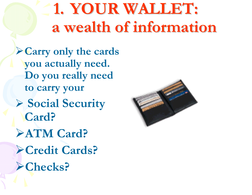# **1. YOUR WALLET: a wealth of information a wealth of information**

¾**Carry only the cards you actually need. Do you really need to carry your**  ¾ **Social Security Card?**  ¾**ATM Card?**  ¾**Credit Cards?**  ¾**Checks?** 

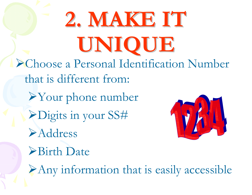**2. MAKE IT MAKE IT UNIQUE** Choose a Personal Identification Number that is different from: Your phone number Digits in your SS# Address Birth Date Any information that is easily accessible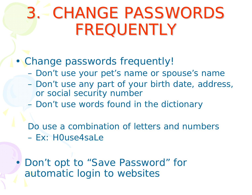# 3. CHANGE PASSWORDS CHANGE PASSWORDS FREQUENTLY

#### •Change passwords frequently!

- $\mathcal{L}_{\mathcal{A}}$ Don't use your pet's name or spouse's name
- Don't use any part of your birth date, address, or social security number
- Don't use words found in the dictionary

Do use a combination of letters and numbers – Ex: H0use4saLe

• Don't opt to "Save Password" for automatic login to websites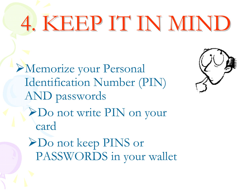# 4. KEEP IT IN MIND

¾Memorize your Personal Identification Number (PIN) AND passwords ¾Do not write PIN on your card ¾Do not keep PINS or PASSWORDS in your wallet

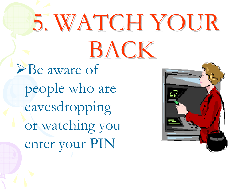# 5. WATCH YOUR BACK ¾Be aware of

people who are eavesdropping or watching you enter your PIN

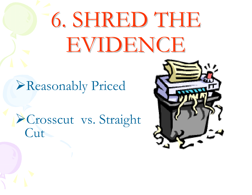# 6. SHRED THE EVIDENCE

### ¾Reasonably Priced

### ¾Crosscut vs. Straight **Cut**

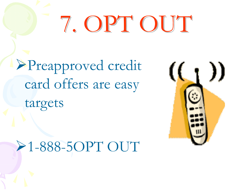# 7. OPT OUT

¾Preapproved credit card offers are easy targets

# ¾1-888-5OPT OUT

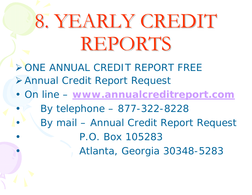# 8. YEARLY CREDIT REPORTS

- ¾ ONE ANNUAL CREDIT REPORT FREE ¾ Annual Credit Report Request
- • On line – **www.annualcreditreport.com**
	- By telephone 877-322-8228

•

•

•

•

By mail – Annual Credit Report Request

P.O. Box 105283

Atlanta, Georgia 30348-5283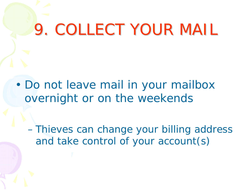# 9. COLLECT YOUR MAIL

• Do not leave mail in your mailbox overnight or on the weekends

**Holland**  Thieves can change your billing address and take control of your account(s)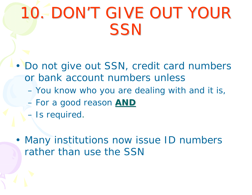# 10. DON'T GIVE OUT YOUR **SSN**

- • Do not give out SSN, credit card numbers or bank account numbers unless
	- You know who you are dealing with and it is,
	- For a good reason **AND**
	- Is required.
- • Many institutions now issue ID numbers rather than use the SSN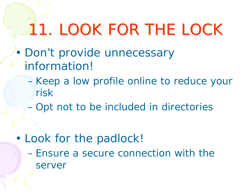# 11. LOOK FOR THE LOCK

- •Don't provide unnecessary information!
	- Keep a low profile online to reduce your risk
	- Opt not to be included in directories

• Look for the padlock! – Ensure a secure connection with the server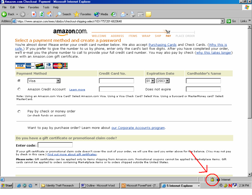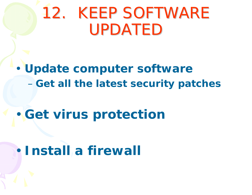# 12. KEEP SOFTWARE UPDATED

#### • **Update computer software Hart Community -Get all the latest security patches**

#### •**• Get virus protection**

### **Install a firewall**

•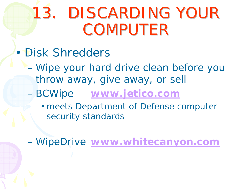# 13. DISCARDING YOUR **COMPUTER**

- • Disk Shredders
	- Wipe your hard drive clean before you throw away, give away, or sell
	- **Hart Common**  BCWipe **www.jetico.com**
		- meets Department of Defense computer security standards

WipeDrive **www.whitecanyon.com**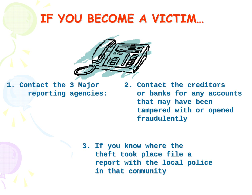### **IF YOU BECOME A VICTIM IF YOU BECOME A VICTIM…**



**1. Contact the Contact the 3 Major reporting agencies reporting agencies:** **2. Contact the creditors Contact the creditors**or banks for any accounts that may have been  **tampered with or opened tampered with or opened fraudulently fraudulently**

3. If you know where the theft took place file a  **report with the local police report with the local police in that community in that community**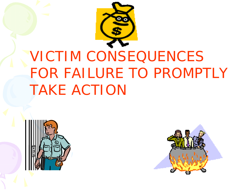

# VICTIM CONSEQUENCES FOR FAILURE TO PROMPTLY TAKE ACTION



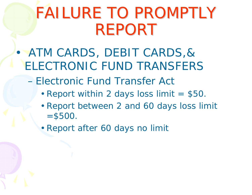# FAILURE TO PROMPTLY REPORT

- • ATM CARDS, DEBIT CARDS,& ELECTRONIC FUND TRANSFERS
	- Electronic Fund Transfer Act
		- Report within 2 days loss limit = \$50.
		- Report between 2 and 60 days loss limit  $= $500.$
		- Report after 60 days no limit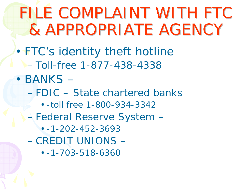# FILE COMPLAINT WITH FTC & APPROPRIATE AGENCY

• FTC's identity theft hotline – Toll-free 1-877-438-4338

• BANKS – – FDIC – State chartered banks • -toll free 1-800-934-3342 **Holland**  Federal Reserve System – • -1-202-452-3693 – CREDIT UNIONS – • -1-703-518-6360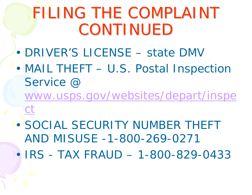# FILING THE COMPLAINT CONTINUED

- •DRIVER'S LICENSE – state DMV
- • MAIL THEFT – U.S. Postal Inspection Service @
	- www.usps.gov/websites/depart/inspe ct
- • SOCIAL SECURITY NUMBER THEFT AND MISUSE -1-800-269-0271
- •IRS - TAX FRAUD – 1-800-829-0433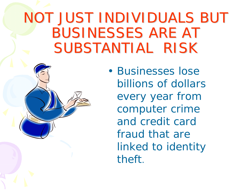### NOT JUST INDIVIDUALS BUT BUSINESSES ARE AT SUBSTANTIAL RISK

• Businesses lose billions of dollars every year from computer crime and credit card fraud that are linked to identity theft.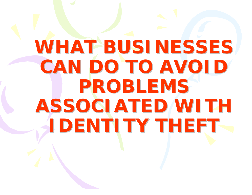# **WHAT BUSINESSES CAN DO TO AVOID PROBLEMS PROBLEMS ASSOCIATED WITH IDENTITY THEFT IDENTITY THEFT**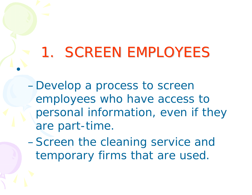# 1. SCREEN EMPLOYEES

•

–Develop a process to screen employees who have access to personal information, even if they are part-time.

–Screen the cleaning service and temporary firms that are used.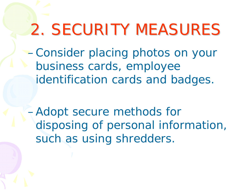# 2. SECURITY MEASURES

–Consider placing photos on your business cards, employee identification cards and badges.

–Adopt secure methods for disposing of personal information, such as using shredders.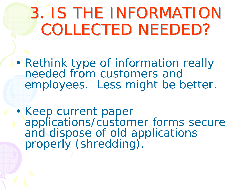# **3. IS THE INFORMATION** COLLECTED NEEDED?

- • Rethink type of information really needed from customers and employees. Less might be better.
- Keep current paper applications/customer forms secure and dispose of old applications properly (shredding).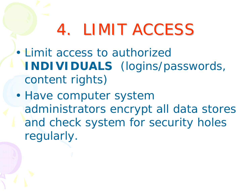# 4. LIMIT ACCESS

- • Limit access to authorized **INDIVIDUALS** (logins/passwords, content rights)
- • Have computer system administrators encrypt all data stores and check system for security holes regularly.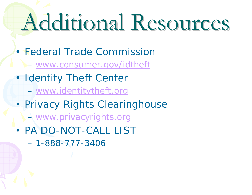# Additional Resources Additional Resources

- Federal Trade Commission
	- www.consumer.gov/idtheft
- • Identity Theft Center
	- www.identitytheft.org
- • Privacy Rights Clearinghouse
	- www.privacyrights.org
- PA DO-NOT-CALL LIST
	- 1-888-777-3406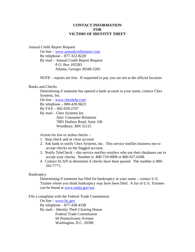#### **CONTACT INFORMATION FOR VICTIMS OF IDENTITY THEFT**

Annual Credit Report Request

 On line – [www.annualcreditreport.com](http://www.annualcreditreport.com/) By telephone – 877-322-8228 By mail – Annual Credit Report Request P.O. Box 105283 Atlanta, Georgia 30348-5283

NOTE – reports are free. If requested to pay you are not at the official location.

#### Banks and Checks

 Determining if someone has opened a bank account in your name, contact Chex Systems, Inc.

On line – [www.chexhelp.com](http://www.chexhelp.com/)

By telephone – 800-428-9623

By FAX – 602-659-2197

 By mail – Chex Systems Inc Attn: Consumer Relations 7805 Hudson Road, Suite 100 Woodbury, MN 55125

Action for lost or stolen checks –

- 1. Stop check and or close account
- 2. Ask bank to notify Chex Systems, Inc. This service notifies business not to accept checks on the flagged account.
- 3. Notify TeleCheck this service notifies retailers who use their databases not to accept your checks. Number is 800-710-9898 or 800-927-0188.
- 4. Contact SCAN to determine if checks have been passed. The number is 800- 262-7771.

#### **Bankruptcy**

 Determining if someone has filed for bankruptcy in your name – contact U.S. Trustee where you think bankruptcy may have been filed. A list of U.S. Trustees can be found at [www.usdoj.gov/ust.](http://www.usdoj.gov/ust)

File a complaint with the Federal Trade Commission

 On line – [www.ftc.gov](http://www.ftc.gov/) By telephone – 877-438-4338 By mail – Identity Theft Clearing House Federal Trade Commission 60 Pennsylvania Avenue Washington, D.C. 20580